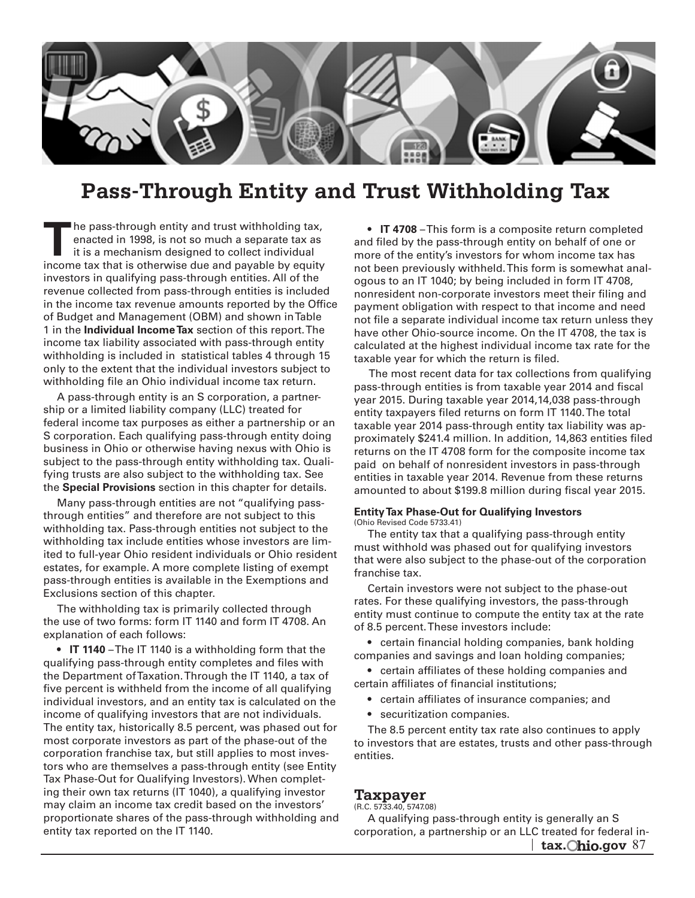

# **Pass-Through Entity and Trust Withholding Tax**

 income tax that is otherwise due and payable by equity investors in qualifying pass-through entities. All of the only to the extent that the individual investors subject to **T**he pass-through entity and trust withholding tax, enacted in 1998, is not so much a separate tax as it is a mechanism designed to collect individual revenue collected from pass-through entities is included in the income tax revenue amounts reported by the Office of Budget and Management (OBM) and shown in Table 1 in the **Individual Income Tax** section of this report. The income tax liability associated with pass-through entity withholding is included in statistical tables 4 through 15 withholding file an Ohio individual income tax return.

 S corporation. Each qualifying pass-through entity doing subject to the pass-through entity withholding tax. Quali- fying trusts are also subject to the withholding tax. See A pass-through entity is an S corporation, a partnership or a limited liability company (LLC) treated for federal income tax purposes as either a partnership or an business in Ohio or otherwise having nexus with Ohio is the **Special Provisions** section in this chapter for details.

 Many pass-through entities are not "qualifying pass- through entities" and therefore are not subject to this withholding tax. Pass-through entities not subject to the withholding tax include entities whose investors are limited to full-year Ohio resident individuals or Ohio resident estates, for example. A more complete listing of exempt pass-through entities is available in the Exemptions and Exclusions section of this chapter.

The withholding tax is primarily collected through the use of two forms: form IT 1140 and form IT 4708. An explanation of each follows:

 • **IT 1140** –The IT 1140 is a withholding form that the qualifying pass-through entity completes and files with five percent is withheld from the income of all qualifying income of qualifying investors that are not individuals. ing their own tax returns (IT 1040), a qualifying investor the Department of Taxation. Through the IT 1140, a tax of individual investors, and an entity tax is calculated on the The entity tax, historically 8.5 percent, was phased out for most corporate investors as part of the phase-out of the corporation franchise tax, but still applies to most investors who are themselves a pass-through entity (see Entity Tax Phase-Out for Qualifying Investors). When completmay claim an income tax credit based on the investors' proportionate shares of the pass-through withholding and entity tax reported on the IT 1140.

 • **IT 4708** –This form is a composite return completed and filed by the pass-through entity on behalf of one or more of the entity's investors for whom income tax has not been previously withheld. This form is somewhat analogous to an IT 1040; by being included in form IT 4708, nonresident non-corporate investors meet their filing and payment obligation with respect to that income and need not file a separate individual income tax return unless they have other Ohio-source income. On the IT 4708, the tax is calculated at the highest individual income tax rate for the taxable year for which the return is filed.

 The most recent data for tax collections from qualifying pass-through entities is from taxable year 2014 and fiscal year 2015. During taxable year 2014,14,038 pass-through entity taxpayers filed returns on form IT 1140. The total taxable year 2014 pass-through entity tax liability was approximately \$241.4 million. In addition, 14,863 entities filed returns on the IT 4708 form for the composite income tax paid on behalf of nonresident investors in pass-through entities in taxable year 2014. Revenue from these returns amounted to about \$199.8 million during fiscal year 2015.

#### **Entity Tax Phase-Out for Qualifying Investors**  (Ohio Revised Code 5733.41)

 The entity tax that a qualifying pass-through entity must withhold was phased out for qualifying investors that were also subject to the phase-out of the corporation franchise tax.

 Certain investors were not subject to the phase-out rates. For these qualifying investors, the pass-through entity must continue to compute the entity tax at the rate of 8.5 percent. These investors include:

 • certain financial holding companies, bank holding companies and savings and loan holding companies;

 • certain affiliates of these holding companies and certain affiliates of financial institutions;

- certain affiliates of insurance companies; and
- securitization companies.

The 8.5 percent entity tax rate also continues to apply to investors that are estates, trusts and other pass-through entities.

# **Taxpayer**

(R.C. 5733.40, 5747.08)

 A qualifying pass-through entity is generally an S corporation, a partnership or an LLC treated for federal in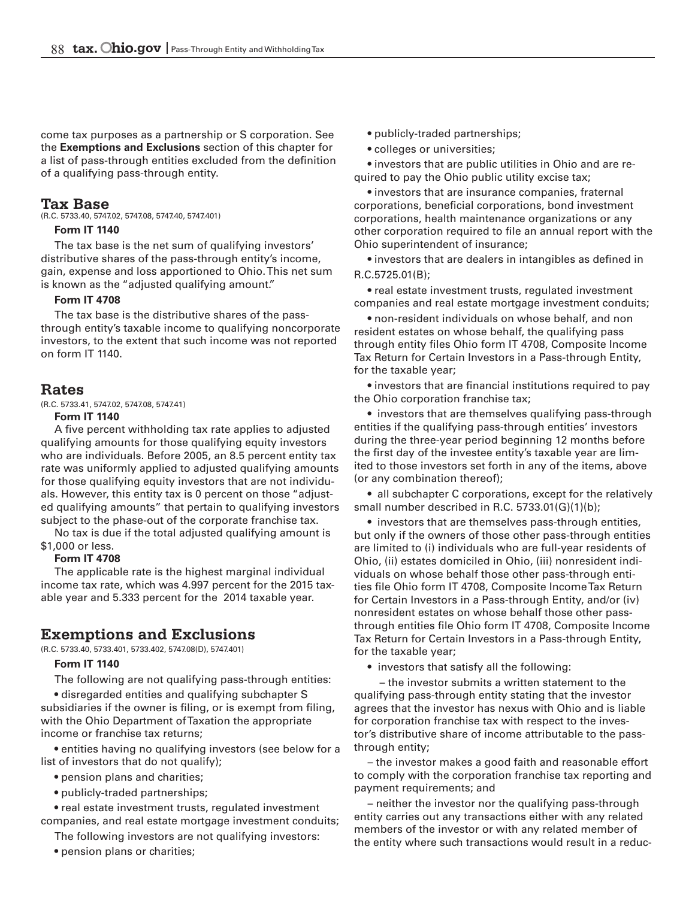of a qualifying pass-through entity. come tax purposes as a partnership or S corporation. See the **Exemptions and Exclusions** section of this chapter for a list of pass-through entities excluded from the definition

### **Tax Base**

(R.C. 5733.40, 5747.02, 5747.08, 5747.40, 5747.401)

#### **Form IT 1140**

 The tax base is the net sum of qualifying investors' is known as the "adjusted qualifying amount." distributive shares of the pass-through entity's income, gain, expense and loss apportioned to Ohio. This net sum

#### **Form IT 4708**

 through entity's taxable income to qualifying noncorporate The tax base is the distributive shares of the passinvestors, to the extent that such income was not reported on form IT 1140.

### **Rates**

(R.C. 5733.41, 5747.02, 5747.08, 5747.41)

#### **Form IT 1140**

 A five percent withholding tax rate applies to adjusted qualifying amounts for those qualifying equity investors rate was uniformly applied to adjusted qualifying amounts for those qualifying equity investors that are not individu- als. However, this entity tax is 0 percent on those "adjust- ed qualifying amounts" that pertain to qualifying investors subject to the phase-out of the corporate franchise tax. who are individuals. Before 2005, an 8.5 percent entity tax

 No tax is due if the total adjusted qualifying amount is \$1,000 or less.

#### **Form IT 4708**

The applicable rate is the highest marginal individual income tax rate, which was 4.997 percent for the 2015 taxable year and 5.333 percent for the 2014 taxable year.

# **Exemptions and Exclusions**

(R.C. 5733.40, 5733.401, 5733.402, 5747.08(D), 5747.401)

### **Form IT 1140**

 The following are not qualifying pass-through entities:

 • disregarded entities and qualifying subchapter S subsidiaries if the owner is filing, or is exempt from filing, with the Ohio Department of Taxation the appropriate income or franchise tax returns;

 • entities having no qualifying investors (see below for a list of investors that do not qualify);

- pension plans and charities;
- publicly-traded partnerships;

 • real estate investment trusts, regulated investment companies, and real estate mortgage investment conduits;

 The following investors are not qualifying investors:

 • pension plans or charities;

- pubIicly-traded partnerships;
- colleges or universities;

 • investors that are public utilities in Ohio and are re- quired to pay the Ohio public utility excise tax;

 • investors that are insurance companies, fraternal other corporation required to file an annual report with the corporations, beneficial corporations, bond investment corporations, health maintenance organizations or any Ohio superintendent of insurance;

 • investors that are dealers in intangibles as defined in R.C.5725.01(B);

 • real estate investment trusts, regulated investment companies and real estate mortgage investment conduits;

 • non-resident individuals on whose behalf, and non resident estates on whose behalf, the qualifying pass through entity files Ohio form IT 4708, Composite Income Tax Return for Certain Investors in a Pass-through Entity, for the taxable year;

 • investors that are financial institutions required to pay the Ohio corporation franchise tax;

 • investors that are themselves qualifying pass-through entities if the qualifying pass-through entities' investors during the three-year period beginning 12 months before the first day of the investee entity's taxable year are limited to those investors set forth in any of the items, above (or any combination thereof);

 • all subchapter C corporations, except for the relatively small number described in R.C. 5733.01(G)(1)(b);

 • investors that are themselves pass-through entities, but only if the owners of those other pass-through entities are limited to (i) individuals who are full-year residents of Ohio, (ii) estates domiciled in Ohio, (iii) nonresident individuals on whose behalf those other pass-through entities file Ohio form IT 4708, Composite Income Tax Return for Certain Investors in a Pass-through Entity, and/or (iv) nonresident estates on whose behalf those other passthrough entities file Ohio form IT 4708, Composite Income Tax Return for Certain Investors in a Pass-through Entity, for the taxable year;

• investors that satisfy all the following:

 – the investor submits a written statement to the qualifying pass-through entity stating that the investor agrees that the investor has nexus with Ohio and is liable for corporation franchise tax with respect to the investor's distributive share of income attributable to the passthrough entity;

 – the investor makes a good faith and reasonable effort to comply with the corporation franchise tax reporting and payment requirements; and

 – neither the investor nor the qualifying pass-through entity carries out any transactions either with any related members of the investor or with any related member of the entity where such transactions would result in a reduc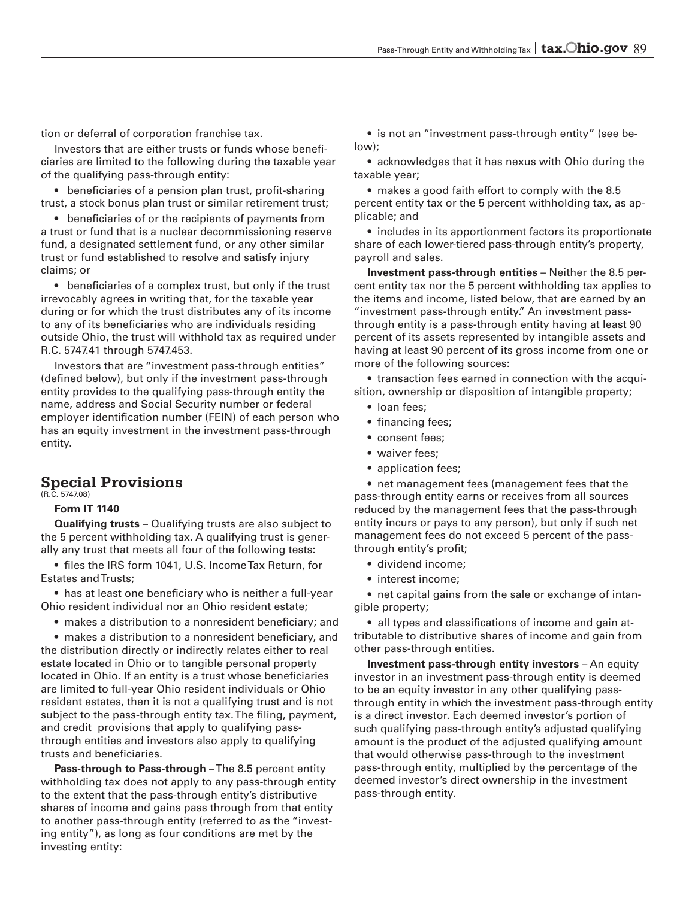tion or deferral of corporation franchise tax.

 of the qualifying pass-through entity: Investors that are either trusts or funds whose beneficiaries are limited to the following during the taxable year

 • beneficiaries of a pension plan trust, profit-sharing trust, a stock bonus plan trust or similar retirement trust;

 • beneficiaries of or the recipients of payments from trust or fund established to resolve and satisfy injury a trust or fund that is a nuclear decommissioning reserve fund, a designated settlement fund, or any other similar claims; or

 • beneficiaries of a complex trust, but only if the trust outside Ohio, the trust will withhold tax as required under irrevocably agrees in writing that, for the taxable year during or for which the trust distributes any of its income to any of its beneficiaries who are individuals residing R.C. 5747.41 through 5747.453.

 entity provides to the qualifying pass-through entity the has an equity investment in the investment pass-through Investors that are "investment pass-through entities" (defined below), but only if the investment pass-through name, address and Social Security number or federal employer identification number (FEIN) of each person who entity.

# **Special Provisions**

(R.C. 5747.08)

### **Form IT 1140**

 **Qualifying trusts** – Qualifying trusts are also subject to the 5 percent withholding tax. A qualifying trust is generally any trust that meets all four of the following tests:

 • files the IRS form 1041, U.S. IncomeTax Return, for Estates and Trusts;

 • has at least one beneficiary who is neither a full-year Ohio resident individual nor an Ohio resident estate;

 • makes a distribution to a nonresident beneficiary; and

 • makes a distribution to a nonresident beneficiary, and resident estates, then it is not a qualifying trust and is not subject to the pass-through entity tax.The filing, payment, and credit provisions that apply to qualifying pass- through entities and investors also apply to qualifying the distribution directly or indirectly relates either to real estate located in Ohio or to tangible personal property located in Ohio. If an entity is a trust whose beneficiaries are limited to full-year Ohio resident individuals or Ohio trusts and beneficiaries.

 **Pass-through to Pass-through** –The 8.5 percent entity withholding tax does not apply to any pass-through entity to the extent that the pass-through entity's distributive shares of income and gains pass through from that entity to another pass-through entity (referred to as the "investing entity"), as long as four conditions are met by the investing entity:

 $\bullet\,$  is not an "investment pass-through entity" (see be low);

 • acknowledges that it has nexus with Ohio during the taxable year;

 • makes a good faith effort to comply with the 8.5 percent entity tax or the 5 percent withholding tax, as applicable; and

 • includes in its apportionment factors its proportionate share of each lower-tiered pass-through entity's property, payroll and sales.

 **Investment pass-through entities** – Neither the 8.5 percent entity tax nor the 5 percent withholding tax applies to the items and income, listed below, that are earned by an "investment pass-through entity." An investment passthrough entity is a pass-through entity having at least 90 percent of its assets represented by intangible assets and having at least 90 percent of its gross income from one or more of the following sources:

 $\bullet\,$  transaction fees earned in connection with the acqui sition, ownership or disposition of intangible property;

- loan fees;
- financing fees;
- consent fees;
- waiver fees;
- application fees;

 • net management fees (management fees that the pass-through entity earns or receives from all sources reduced by the management fees that the pass-through entity incurs or pays to any person), but only if such net management fees do not exceed 5 percent of the passthrough entity's profit;

- dividend income;
- interest income;

 $\bullet\,$  net capital gains from the sale or exchange of intan gible property;

 • all types and classifications of income and gain attributable to distributive shares of income and gain from other pass-through entities.

 **Investment pass-through entity investors** – An equity to be an equity investor in any other qualifying pass- such qualifying pass-through entity's adjusted qualifying amount is the product of the adjusted qualifying amount investor in an investment pass-through entity is deemed through entity in which the investment pass-through entity is a direct investor. Each deemed investor's portion of that would otherwise pass-through to the investment pass-through entity, multiplied by the percentage of the deemed investor's direct ownership in the investment pass-through entity.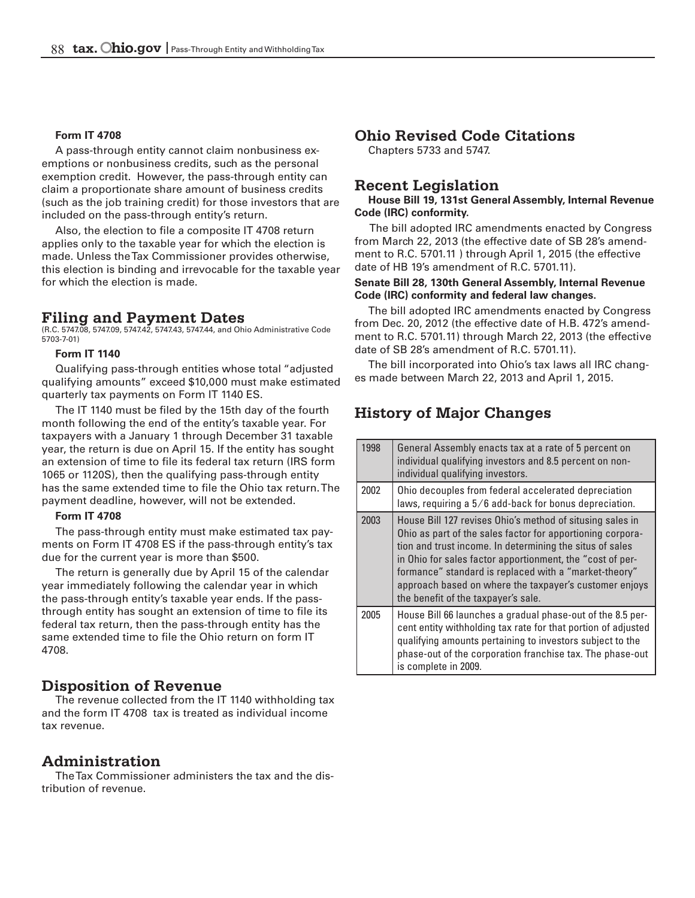#### **Form IT 4708**

 (such as the job training credit) for those investors that are A pass-through entity cannot claim nonbusiness exemptions or nonbusiness credits, such as the personal exemption credit. However, the pass-through entity can claim a proportionate share amount of business credits included on the pass-through entity's return.

Also, the election to file a composite IT 4708 return applies only to the taxable year for which the election is made. Unless the Tax Commissioner provides otherwise, this election is binding and irrevocable for the taxable year for which the election is made.

#### **Filing and Payment Dates**

(R.C. 5747.08, 5747.09, 5747.42, 5747.43, 5747.44, and Ohio Administrative Code 5703-7-01)

#### **Form IT 1140**

 Qualifying pass-through entities whose total "adjusted qualifying amounts" exceed \$10,000 must make estimated quarterly tax payments on Form IT 1140 ES.

 1065 or 1120S), then the qualifying pass-through entity The IT 1140 must be filed by the 15th day of the fourth month following the end of the entity's taxable year. For taxpayers with a January 1 through December 31 taxable year, the return is due on April 15. If the entity has sought an extension of time to file its federal tax return (IRS form has the same extended time to file the Ohio tax return. The payment deadline, however, will not be extended.

#### **Form IT 4708**

 The pass-through entity must make estimated tax payments on Form IT 4708 ES if the pass-through entity's tax due for the current year is more than \$500.

The return is generally due by April 15 of the calendar year immediately following the calendar year in which the pass-through entity's taxable year ends. If the passthrough entity has sought an extension of time to file its federal tax return, then the pass-through entity has the same extended time to file the Ohio return on form IT 4708.

## **Disposition of Revenue**

The revenue collected from the IT 1140 withholding tax and the form IT 4708 tax is treated as individual income tax revenue.

# **Administration**

The Tax Commissioner administers the tax and the distribution of revenue.

### **Ohio Revised Code Citations**

Chapters 5733 and 5747.

# **Recent Legislation**

#### **House Bill 19, 131st General Assembly, Internal Revenue Code (IRC) conformity.**

The bill adopted IRC amendments enacted by Congress from March 22, 2013 (the effective date of SB 28's amendment to R.C. 5701.11 ) through April 1, 2015 (the effective date of HB 19's amendment of R.C. 5701.11).

#### **Senate Bill 28, 130th General Assembly, Internal Revenue Code (IRC) conformity and federal law changes.**

The bill adopted IRC amendments enacted by Congress from Dec. 20, 2012 (the effective date of H.B. 472's amendment to R.C. 5701.11) through March 22, 2013 (the effective date of SB 28's amendment of R.C. 5701.11).

The bill incorporated into Ohio's tax laws all IRC changes made between March 22, 2013 and April 1, 2015.

# **History of Major Changes**

| 1998 | General Assembly enacts tax at a rate of 5 percent on<br>individual qualifying investors and 8.5 percent on non-<br>individual qualifying investors.                                                                                                                                                                                                                                                       |
|------|------------------------------------------------------------------------------------------------------------------------------------------------------------------------------------------------------------------------------------------------------------------------------------------------------------------------------------------------------------------------------------------------------------|
| 2002 | Ohio decouples from federal accelerated depreciation<br>laws, requiring a 5/6 add-back for bonus depreciation.                                                                                                                                                                                                                                                                                             |
| 2003 | House Bill 127 revises Ohio's method of situsing sales in<br>Ohio as part of the sales factor for apportioning corpora-<br>tion and trust income. In determining the situs of sales<br>in Ohio for sales factor apportionment, the "cost of per-<br>formance" standard is replaced with a "market-theory"<br>approach based on where the taxpayer's customer enjoys<br>the benefit of the taxpayer's sale. |
| 2005 | House Bill 66 launches a gradual phase-out of the 8.5 per-<br>cent entity withholding tax rate for that portion of adjusted<br>qualifying amounts pertaining to investors subject to the<br>phase-out of the corporation franchise tax. The phase-out<br>is complete in 2009.                                                                                                                              |